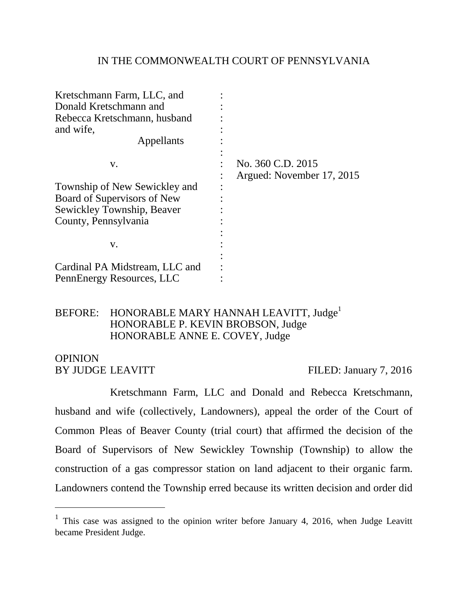#### IN THE COMMONWEALTH COURT OF PENNSYLVANIA

| Kretschmann Farm, LLC, and     |                                                |
|--------------------------------|------------------------------------------------|
| Donald Kretschmann and         |                                                |
| Rebecca Kretschmann, husband   |                                                |
| and wife,                      |                                                |
| Appellants                     |                                                |
| v.                             | No. 360 C.D. 2015<br>Argued: November 17, 2015 |
| Township of New Sewickley and  |                                                |
| Board of Supervisors of New    |                                                |
| Sewickley Township, Beaver     |                                                |
| County, Pennsylvania           |                                                |
|                                |                                                |
| V.                             |                                                |
|                                |                                                |
| Cardinal PA Midstream, LLC and |                                                |
| PennEnergy Resources, LLC      |                                                |

# BEFORE: HONORABLE MARY HANNAH LEAVITT, Judge<sup>1</sup> HONORABLE P. KEVIN BROBSON, Judge HONORABLE ANNE E. COVEY, Judge

# **OPINION**

 $\overline{a}$ 

BY JUDGE LEAVITT FILED: January 7, 2016

Kretschmann Farm, LLC and Donald and Rebecca Kretschmann, husband and wife (collectively, Landowners), appeal the order of the Court of Common Pleas of Beaver County (trial court) that affirmed the decision of the Board of Supervisors of New Sewickley Township (Township) to allow the construction of a gas compressor station on land adjacent to their organic farm. Landowners contend the Township erred because its written decision and order did

<sup>&</sup>lt;sup>1</sup> This case was assigned to the opinion writer before January 4, 2016, when Judge Leavitt became President Judge.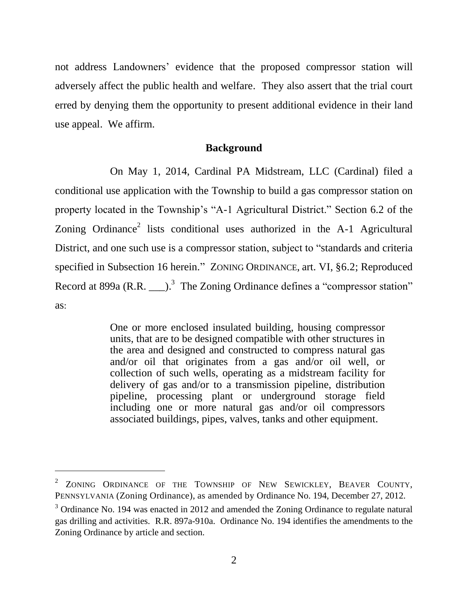not address Landowners' evidence that the proposed compressor station will adversely affect the public health and welfare. They also assert that the trial court erred by denying them the opportunity to present additional evidence in their land use appeal. We affirm.

#### **Background**

On May 1, 2014, Cardinal PA Midstream, LLC (Cardinal) filed a conditional use application with the Township to build a gas compressor station on property located in the Township's "A-1 Agricultural District." Section 6.2 of the Zoning Ordinance<sup>2</sup> lists conditional uses authorized in the  $A-1$  Agricultural District, and one such use is a compressor station, subject to "standards and criteria specified in Subsection 16 herein." ZONING ORDINANCE, art. VI, §6.2; Reproduced Record at 899a (R.R.  $\qquad \qquad$ ).<sup>3</sup> The Zoning Ordinance defines a "compressor station" as:

> One or more enclosed insulated building, housing compressor units, that are to be designed compatible with other structures in the area and designed and constructed to compress natural gas and/or oil that originates from a gas and/or oil well, or collection of such wells, operating as a midstream facility for delivery of gas and/or to a transmission pipeline, distribution pipeline, processing plant or underground storage field including one or more natural gas and/or oil compressors associated buildings, pipes, valves, tanks and other equipment.

<sup>&</sup>lt;sup>2</sup> ZONING ORDINANCE OF THE TOWNSHIP OF NEW SEWICKLEY, BEAVER COUNTY, PENNSYLVANIA (Zoning Ordinance), as amended by Ordinance No. 194, December 27, 2012.

<sup>&</sup>lt;sup>3</sup> Ordinance No. 194 was enacted in 2012 and amended the Zoning Ordinance to regulate natural gas drilling and activities. R.R. 897a-910a. Ordinance No. 194 identifies the amendments to the Zoning Ordinance by article and section.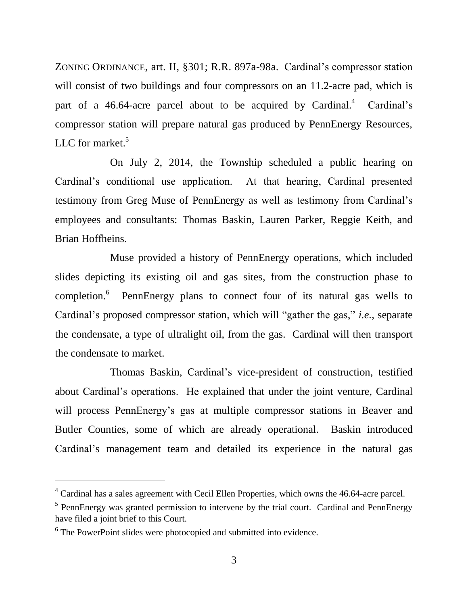ZONING ORDINANCE, art. II, §301; R.R. 897a-98a. Cardinal's compressor station will consist of two buildings and four compressors on an 11.2-acre pad, which is part of a 46.64-acre parcel about to be acquired by Cardinal.<sup>4</sup> Cardinal's compressor station will prepare natural gas produced by PennEnergy Resources, LLC for market. $5$ 

On July 2, 2014, the Township scheduled a public hearing on Cardinal's conditional use application. At that hearing, Cardinal presented testimony from Greg Muse of PennEnergy as well as testimony from Cardinal's employees and consultants: Thomas Baskin, Lauren Parker, Reggie Keith, and Brian Hoffheins.

Muse provided a history of PennEnergy operations, which included slides depicting its existing oil and gas sites, from the construction phase to completion.<sup>6</sup> PennEnergy plans to connect four of its natural gas wells to Cardinal's proposed compressor station, which will "gather the gas," *i.e.*, separate the condensate, a type of ultralight oil, from the gas. Cardinal will then transport the condensate to market.

Thomas Baskin, Cardinal's vice-president of construction, testified about Cardinal's operations. He explained that under the joint venture, Cardinal will process PennEnergy's gas at multiple compressor stations in Beaver and Butler Counties, some of which are already operational. Baskin introduced Cardinal's management team and detailed its experience in the natural gas

<sup>4</sup> Cardinal has a sales agreement with Cecil Ellen Properties, which owns the 46.64-acre parcel.

<sup>&</sup>lt;sup>5</sup> PennEnergy was granted permission to intervene by the trial court. Cardinal and PennEnergy have filed a joint brief to this Court.

<sup>&</sup>lt;sup>6</sup> The PowerPoint slides were photocopied and submitted into evidence.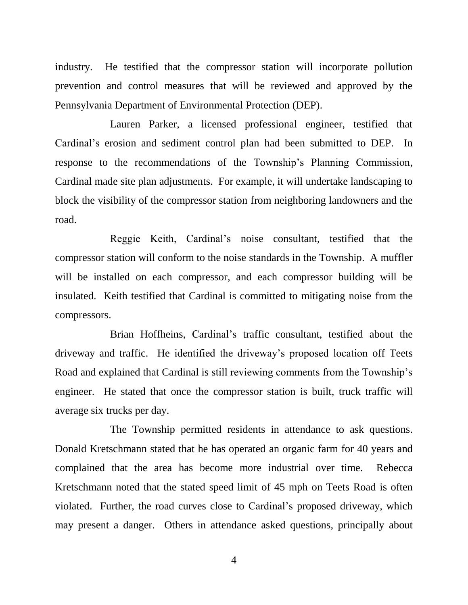industry. He testified that the compressor station will incorporate pollution prevention and control measures that will be reviewed and approved by the Pennsylvania Department of Environmental Protection (DEP).

Lauren Parker, a licensed professional engineer, testified that Cardinal's erosion and sediment control plan had been submitted to DEP. In response to the recommendations of the Township's Planning Commission, Cardinal made site plan adjustments. For example, it will undertake landscaping to block the visibility of the compressor station from neighboring landowners and the road.

Reggie Keith, Cardinal's noise consultant, testified that the compressor station will conform to the noise standards in the Township. A muffler will be installed on each compressor, and each compressor building will be insulated. Keith testified that Cardinal is committed to mitigating noise from the compressors.

Brian Hoffheins, Cardinal's traffic consultant, testified about the driveway and traffic. He identified the driveway's proposed location off Teets Road and explained that Cardinal is still reviewing comments from the Township's engineer. He stated that once the compressor station is built, truck traffic will average six trucks per day.

The Township permitted residents in attendance to ask questions. Donald Kretschmann stated that he has operated an organic farm for 40 years and complained that the area has become more industrial over time. Rebecca Kretschmann noted that the stated speed limit of 45 mph on Teets Road is often violated. Further, the road curves close to Cardinal's proposed driveway, which may present a danger. Others in attendance asked questions, principally about

4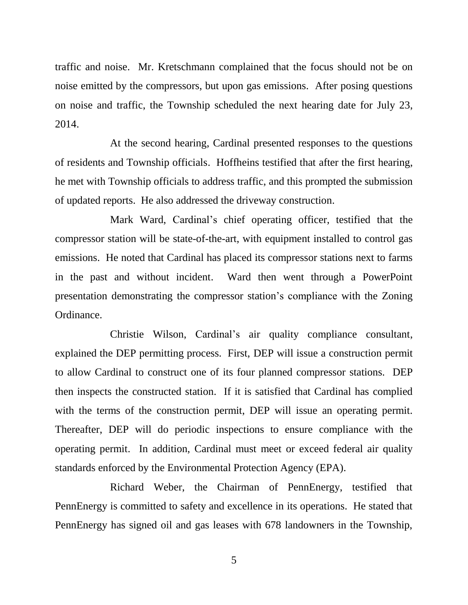traffic and noise. Mr. Kretschmann complained that the focus should not be on noise emitted by the compressors, but upon gas emissions. After posing questions on noise and traffic, the Township scheduled the next hearing date for July 23, 2014.

At the second hearing, Cardinal presented responses to the questions of residents and Township officials. Hoffheins testified that after the first hearing, he met with Township officials to address traffic, and this prompted the submission of updated reports. He also addressed the driveway construction.

Mark Ward, Cardinal's chief operating officer, testified that the compressor station will be state-of-the-art, with equipment installed to control gas emissions. He noted that Cardinal has placed its compressor stations next to farms in the past and without incident. Ward then went through a PowerPoint presentation demonstrating the compressor station's compliance with the Zoning Ordinance.

Christie Wilson, Cardinal's air quality compliance consultant, explained the DEP permitting process. First, DEP will issue a construction permit to allow Cardinal to construct one of its four planned compressor stations. DEP then inspects the constructed station. If it is satisfied that Cardinal has complied with the terms of the construction permit, DEP will issue an operating permit. Thereafter, DEP will do periodic inspections to ensure compliance with the operating permit. In addition, Cardinal must meet or exceed federal air quality standards enforced by the Environmental Protection Agency (EPA).

Richard Weber, the Chairman of PennEnergy, testified that PennEnergy is committed to safety and excellence in its operations. He stated that PennEnergy has signed oil and gas leases with 678 landowners in the Township,

5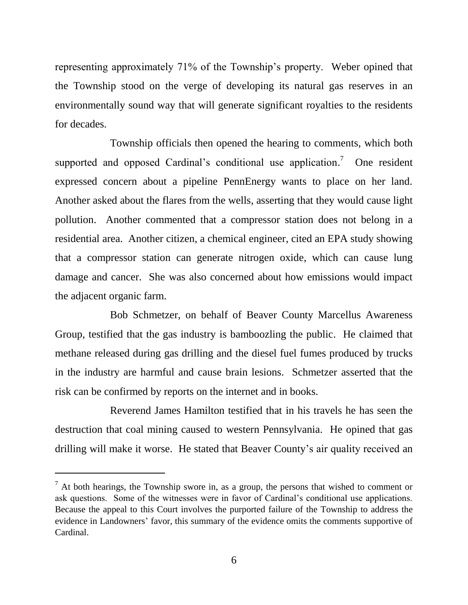representing approximately 71% of the Township's property. Weber opined that the Township stood on the verge of developing its natural gas reserves in an environmentally sound way that will generate significant royalties to the residents for decades.

Township officials then opened the hearing to comments, which both supported and opposed Cardinal's conditional use application.<sup>7</sup> One resident expressed concern about a pipeline PennEnergy wants to place on her land. Another asked about the flares from the wells, asserting that they would cause light pollution. Another commented that a compressor station does not belong in a residential area. Another citizen, a chemical engineer, cited an EPA study showing that a compressor station can generate nitrogen oxide, which can cause lung damage and cancer. She was also concerned about how emissions would impact the adjacent organic farm.

Bob Schmetzer, on behalf of Beaver County Marcellus Awareness Group, testified that the gas industry is bamboozling the public. He claimed that methane released during gas drilling and the diesel fuel fumes produced by trucks in the industry are harmful and cause brain lesions. Schmetzer asserted that the risk can be confirmed by reports on the internet and in books.

Reverend James Hamilton testified that in his travels he has seen the destruction that coal mining caused to western Pennsylvania. He opined that gas drilling will make it worse. He stated that Beaver County's air quality received an

 $<sup>7</sup>$  At both hearings, the Township swore in, as a group, the persons that wished to comment or</sup> ask questions. Some of the witnesses were in favor of Cardinal's conditional use applications. Because the appeal to this Court involves the purported failure of the Township to address the evidence in Landowners' favor, this summary of the evidence omits the comments supportive of Cardinal.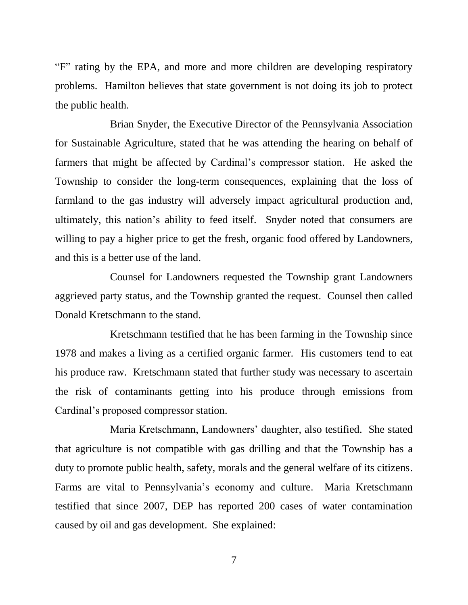"F" rating by the EPA, and more and more children are developing respiratory problems. Hamilton believes that state government is not doing its job to protect the public health.

Brian Snyder, the Executive Director of the Pennsylvania Association for Sustainable Agriculture, stated that he was attending the hearing on behalf of farmers that might be affected by Cardinal's compressor station. He asked the Township to consider the long-term consequences, explaining that the loss of farmland to the gas industry will adversely impact agricultural production and, ultimately, this nation's ability to feed itself. Snyder noted that consumers are willing to pay a higher price to get the fresh, organic food offered by Landowners, and this is a better use of the land.

Counsel for Landowners requested the Township grant Landowners aggrieved party status, and the Township granted the request. Counsel then called Donald Kretschmann to the stand.

Kretschmann testified that he has been farming in the Township since 1978 and makes a living as a certified organic farmer. His customers tend to eat his produce raw. Kretschmann stated that further study was necessary to ascertain the risk of contaminants getting into his produce through emissions from Cardinal's proposed compressor station.

Maria Kretschmann, Landowners' daughter, also testified. She stated that agriculture is not compatible with gas drilling and that the Township has a duty to promote public health, safety, morals and the general welfare of its citizens. Farms are vital to Pennsylvania's economy and culture. Maria Kretschmann testified that since 2007, DEP has reported 200 cases of water contamination caused by oil and gas development. She explained:

7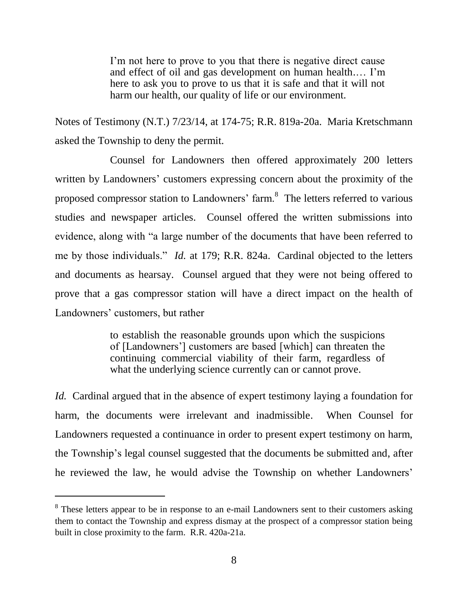I'm not here to prove to you that there is negative direct cause and effect of oil and gas development on human health.… I'm here to ask you to prove to us that it is safe and that it will not harm our health, our quality of life or our environment.

Notes of Testimony (N.T.) 7/23/14, at 174-75; R.R. 819a-20a. Maria Kretschmann asked the Township to deny the permit.

Counsel for Landowners then offered approximately 200 letters written by Landowners' customers expressing concern about the proximity of the proposed compressor station to Landowners' farm.<sup>8</sup> The letters referred to various studies and newspaper articles. Counsel offered the written submissions into evidence, along with "a large number of the documents that have been referred to me by those individuals." *Id.* at 179; R.R. 824a. Cardinal objected to the letters and documents as hearsay. Counsel argued that they were not being offered to prove that a gas compressor station will have a direct impact on the health of Landowners' customers, but rather

> to establish the reasonable grounds upon which the suspicions of [Landowners'] customers are based [which] can threaten the continuing commercial viability of their farm, regardless of what the underlying science currently can or cannot prove.

*Id.* Cardinal argued that in the absence of expert testimony laying a foundation for harm, the documents were irrelevant and inadmissible. When Counsel for Landowners requested a continuance in order to present expert testimony on harm, the Township's legal counsel suggested that the documents be submitted and, after he reviewed the law, he would advise the Township on whether Landowners'

<sup>&</sup>lt;sup>8</sup> These letters appear to be in response to an e-mail Landowners sent to their customers asking them to contact the Township and express dismay at the prospect of a compressor station being built in close proximity to the farm. R.R. 420a-21a.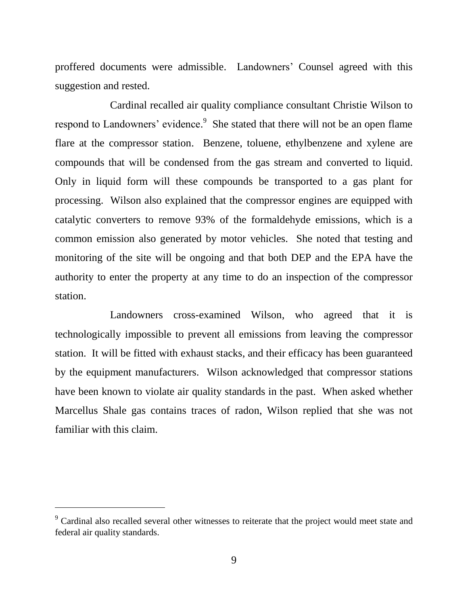proffered documents were admissible. Landowners' Counsel agreed with this suggestion and rested.

Cardinal recalled air quality compliance consultant Christie Wilson to respond to Landowners' evidence.<sup>9</sup> She stated that there will not be an open flame flare at the compressor station. Benzene, toluene, ethylbenzene and xylene are compounds that will be condensed from the gas stream and converted to liquid. Only in liquid form will these compounds be transported to a gas plant for processing. Wilson also explained that the compressor engines are equipped with catalytic converters to remove 93% of the formaldehyde emissions, which is a common emission also generated by motor vehicles. She noted that testing and monitoring of the site will be ongoing and that both DEP and the EPA have the authority to enter the property at any time to do an inspection of the compressor station.

Landowners cross-examined Wilson, who agreed that it is technologically impossible to prevent all emissions from leaving the compressor station. It will be fitted with exhaust stacks, and their efficacy has been guaranteed by the equipment manufacturers. Wilson acknowledged that compressor stations have been known to violate air quality standards in the past. When asked whether Marcellus Shale gas contains traces of radon, Wilson replied that she was not familiar with this claim.

<sup>&</sup>lt;sup>9</sup> Cardinal also recalled several other witnesses to reiterate that the project would meet state and federal air quality standards.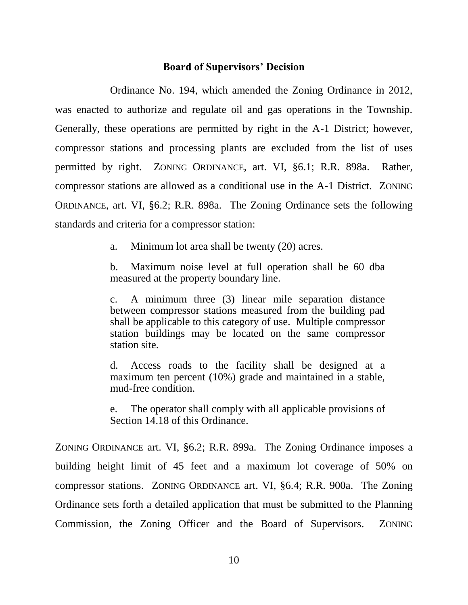#### **Board of Supervisors' Decision**

Ordinance No. 194, which amended the Zoning Ordinance in 2012, was enacted to authorize and regulate oil and gas operations in the Township. Generally, these operations are permitted by right in the A-1 District; however, compressor stations and processing plants are excluded from the list of uses permitted by right. ZONING ORDINANCE, art. VI, §6.1; R.R. 898a. Rather, compressor stations are allowed as a conditional use in the A-1 District. ZONING ORDINANCE, art. VI, §6.2; R.R. 898a. The Zoning Ordinance sets the following standards and criteria for a compressor station:

a. Minimum lot area shall be twenty (20) acres.

b. Maximum noise level at full operation shall be 60 dba measured at the property boundary line.

c. A minimum three (3) linear mile separation distance between compressor stations measured from the building pad shall be applicable to this category of use. Multiple compressor station buildings may be located on the same compressor station site.

d. Access roads to the facility shall be designed at a maximum ten percent (10%) grade and maintained in a stable, mud-free condition.

e. The operator shall comply with all applicable provisions of Section 14.18 of this Ordinance.

ZONING ORDINANCE art. VI, §6.2; R.R. 899a. The Zoning Ordinance imposes a building height limit of 45 feet and a maximum lot coverage of 50% on compressor stations. ZONING ORDINANCE art. VI, §6.4; R.R. 900a. The Zoning Ordinance sets forth a detailed application that must be submitted to the Planning Commission, the Zoning Officer and the Board of Supervisors. ZONING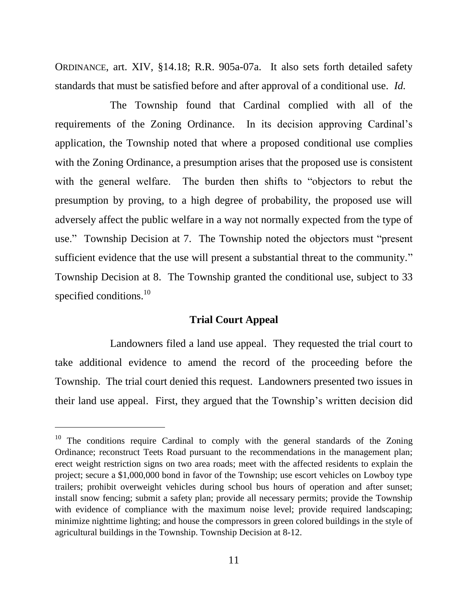ORDINANCE, art. XIV, §14.18; R.R. 905a-07a. It also sets forth detailed safety standards that must be satisfied before and after approval of a conditional use. *Id.*

The Township found that Cardinal complied with all of the requirements of the Zoning Ordinance. In its decision approving Cardinal's application, the Township noted that where a proposed conditional use complies with the Zoning Ordinance, a presumption arises that the proposed use is consistent with the general welfare. The burden then shifts to "objectors to rebut the presumption by proving, to a high degree of probability, the proposed use will adversely affect the public welfare in a way not normally expected from the type of use." Township Decision at 7. The Township noted the objectors must "present sufficient evidence that the use will present a substantial threat to the community." Township Decision at 8. The Township granted the conditional use, subject to 33 specified conditions.<sup>10</sup>

### **Trial Court Appeal**

Landowners filed a land use appeal. They requested the trial court to take additional evidence to amend the record of the proceeding before the Township. The trial court denied this request. Landowners presented two issues in their land use appeal. First, they argued that the Township's written decision did

 $10$  The conditions require Cardinal to comply with the general standards of the Zoning Ordinance; reconstruct Teets Road pursuant to the recommendations in the management plan; erect weight restriction signs on two area roads; meet with the affected residents to explain the project; secure a \$1,000,000 bond in favor of the Township; use escort vehicles on Lowboy type trailers; prohibit overweight vehicles during school bus hours of operation and after sunset; install snow fencing; submit a safety plan; provide all necessary permits; provide the Township with evidence of compliance with the maximum noise level; provide required landscaping; minimize nighttime lighting; and house the compressors in green colored buildings in the style of agricultural buildings in the Township. Township Decision at 8-12.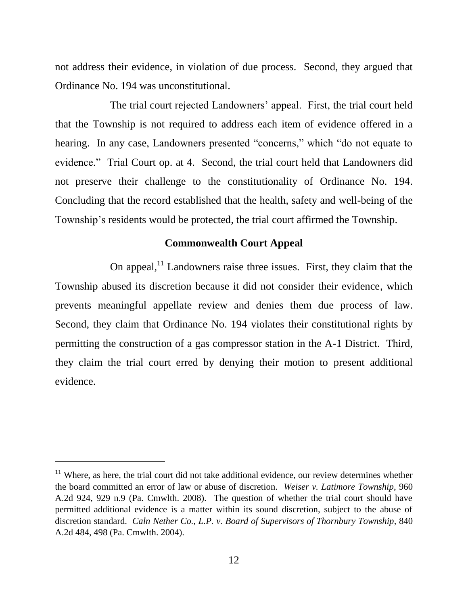not address their evidence, in violation of due process. Second, they argued that Ordinance No. 194 was unconstitutional.

The trial court rejected Landowners' appeal. First, the trial court held that the Township is not required to address each item of evidence offered in a hearing. In any case, Landowners presented "concerns," which "do not equate to evidence." Trial Court op. at 4. Second, the trial court held that Landowners did not preserve their challenge to the constitutionality of Ordinance No. 194. Concluding that the record established that the health, safety and well-being of the Township's residents would be protected, the trial court affirmed the Township.

# **Commonwealth Court Appeal**

On appeal, $<sup>11</sup>$  Landowners raise three issues. First, they claim that the</sup> Township abused its discretion because it did not consider their evidence, which prevents meaningful appellate review and denies them due process of law. Second, they claim that Ordinance No. 194 violates their constitutional rights by permitting the construction of a gas compressor station in the A-1 District. Third, they claim the trial court erred by denying their motion to present additional evidence.

 $11$  Where, as here, the trial court did not take additional evidence, our review determines whether the board committed an error of law or abuse of discretion. *Weiser v. Latimore Township*, 960 A.2d 924, 929 n.9 (Pa. Cmwlth. 2008). The question of whether the trial court should have permitted additional evidence is a matter within its sound discretion, subject to the abuse of discretion standard. *Caln Nether Co., L.P. v. Board of Supervisors of Thornbury Township*, 840 A.2d 484, 498 (Pa. Cmwlth. 2004).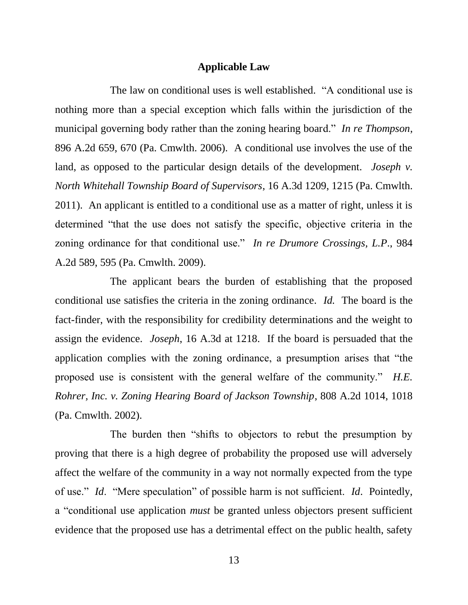#### **Applicable Law**

The law on conditional uses is well established. "A conditional use is nothing more than a special exception which falls within the jurisdiction of the municipal governing body rather than the zoning hearing board." *In re Thompson*, 896 A.2d 659, 670 (Pa. Cmwlth. 2006). A conditional use involves the use of the land, as opposed to the particular design details of the development. *Joseph v. North Whitehall Township Board of Supervisors*, 16 A.3d 1209, 1215 (Pa. Cmwlth. 2011). An applicant is entitled to a conditional use as a matter of right, unless it is determined "that the use does not satisfy the specific, objective criteria in the zoning ordinance for that conditional use." *In re Drumore Crossings, L.P*., 984 A.2d 589, 595 (Pa. Cmwlth. 2009).

The applicant bears the burden of establishing that the proposed conditional use satisfies the criteria in the zoning ordinance. *Id.* The board is the fact-finder, with the responsibility for credibility determinations and the weight to assign the evidence. *Joseph*, 16 A.3d at 1218. If the board is persuaded that the application complies with the zoning ordinance, a presumption arises that "the proposed use is consistent with the general welfare of the community." *H.E. Rohrer, Inc. v. Zoning Hearing Board of Jackson Township*, 808 A.2d 1014, 1018 (Pa. Cmwlth. 2002).

The burden then "shifts to objectors to rebut the presumption by proving that there is a high degree of probability the proposed use will adversely affect the welfare of the community in a way not normally expected from the type of use." *Id*. "Mere speculation" of possible harm is not sufficient. *Id*. Pointedly, a "conditional use application *must* be granted unless objectors present sufficient evidence that the proposed use has a detrimental effect on the public health, safety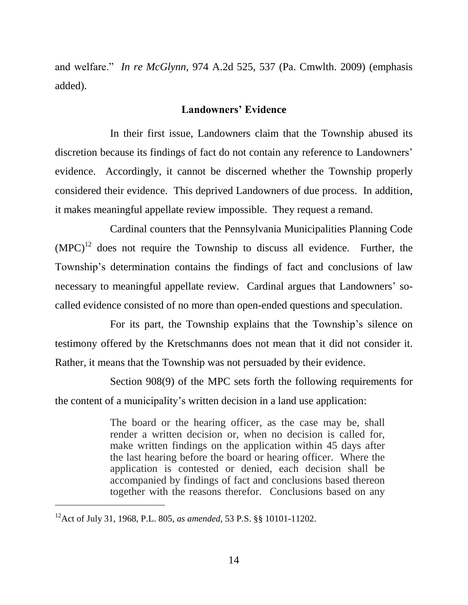and welfare." *In re McGlynn*, 974 A.2d 525, 537 (Pa. Cmwlth. 2009) (emphasis added).

#### **Landowners' Evidence**

In their first issue, Landowners claim that the Township abused its discretion because its findings of fact do not contain any reference to Landowners' evidence. Accordingly, it cannot be discerned whether the Township properly considered their evidence. This deprived Landowners of due process. In addition, it makes meaningful appellate review impossible. They request a remand.

Cardinal counters that the Pennsylvania Municipalities Planning Code  $(MPC)^{12}$  does not require the Township to discuss all evidence. Further, the Township's determination contains the findings of fact and conclusions of law necessary to meaningful appellate review. Cardinal argues that Landowners' socalled evidence consisted of no more than open-ended questions and speculation.

For its part, the Township explains that the Township's silence on testimony offered by the Kretschmanns does not mean that it did not consider it. Rather, it means that the Township was not persuaded by their evidence.

Section 908(9) of the MPC sets forth the following requirements for the content of a municipality's written decision in a land use application:

> The board or the hearing officer, as the case may be, shall render a written decision or, when no decision is called for, make written findings on the application within 45 days after the last hearing before the board or hearing officer. Where the application is contested or denied, each decision shall be accompanied by findings of fact and conclusions based thereon together with the reasons therefor. Conclusions based on any

<sup>12</sup>Act of July 31, 1968, P.L. 805, *as amended*, 53 P.S. §§ 10101-11202.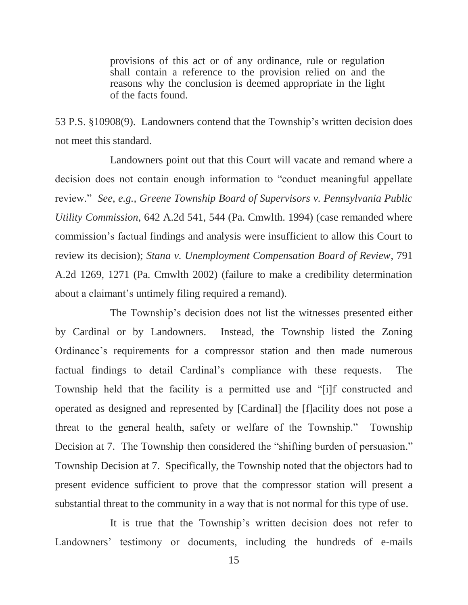provisions of this act or of any ordinance, rule or regulation shall contain a reference to the provision relied on and the reasons why the conclusion is deemed appropriate in the light of the facts found.

53 P.S. §10908(9). Landowners contend that the Township's written decision does not meet this standard.

Landowners point out that this Court will vacate and remand where a decision does not contain enough information to "conduct meaningful appellate review." *See, e.g., Greene Township Board of Supervisors v. Pennsylvania Public Utility Commission*, 642 A.2d 541, 544 (Pa. Cmwlth. 1994) (case remanded where commission's factual findings and analysis were insufficient to allow this Court to review its decision); *Stana v. Unemployment Compensation Board of Review*, 791 A.2d 1269, 1271 (Pa. Cmwlth 2002) (failure to make a credibility determination about a claimant's untimely filing required a remand).

The Township's decision does not list the witnesses presented either by Cardinal or by Landowners. Instead, the Township listed the Zoning Ordinance's requirements for a compressor station and then made numerous factual findings to detail Cardinal's compliance with these requests. The Township held that the facility is a permitted use and "[i]f constructed and operated as designed and represented by [Cardinal] the [f]acility does not pose a threat to the general health, safety or welfare of the Township." Township Decision at 7. The Township then considered the "shifting burden of persuasion." Township Decision at 7. Specifically, the Township noted that the objectors had to present evidence sufficient to prove that the compressor station will present a substantial threat to the community in a way that is not normal for this type of use.

It is true that the Township's written decision does not refer to Landowners' testimony or documents, including the hundreds of e-mails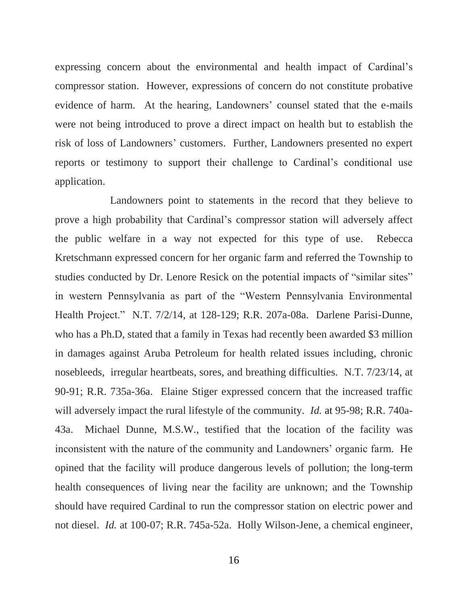expressing concern about the environmental and health impact of Cardinal's compressor station. However, expressions of concern do not constitute probative evidence of harm. At the hearing, Landowners' counsel stated that the e-mails were not being introduced to prove a direct impact on health but to establish the risk of loss of Landowners' customers. Further, Landowners presented no expert reports or testimony to support their challenge to Cardinal's conditional use application.

Landowners point to statements in the record that they believe to prove a high probability that Cardinal's compressor station will adversely affect the public welfare in a way not expected for this type of use. Rebecca Kretschmann expressed concern for her organic farm and referred the Township to studies conducted by Dr. Lenore Resick on the potential impacts of "similar sites" in western Pennsylvania as part of the "Western Pennsylvania Environmental Health Project." N.T. 7/2/14, at 128-129; R.R. 207a-08a. Darlene Parisi-Dunne, who has a Ph.D, stated that a family in Texas had recently been awarded \$3 million in damages against Aruba Petroleum for health related issues including, chronic nosebleeds, irregular heartbeats, sores, and breathing difficulties. N.T. 7/23/14, at 90-91; R.R. 735a-36a. Elaine Stiger expressed concern that the increased traffic will adversely impact the rural lifestyle of the community. *Id.* at 95-98; R.R. 740a-43a. Michael Dunne, M.S.W., testified that the location of the facility was inconsistent with the nature of the community and Landowners' organic farm. He opined that the facility will produce dangerous levels of pollution; the long-term health consequences of living near the facility are unknown; and the Township should have required Cardinal to run the compressor station on electric power and not diesel. *Id.* at 100-07; R.R. 745a-52a. Holly Wilson-Jene, a chemical engineer,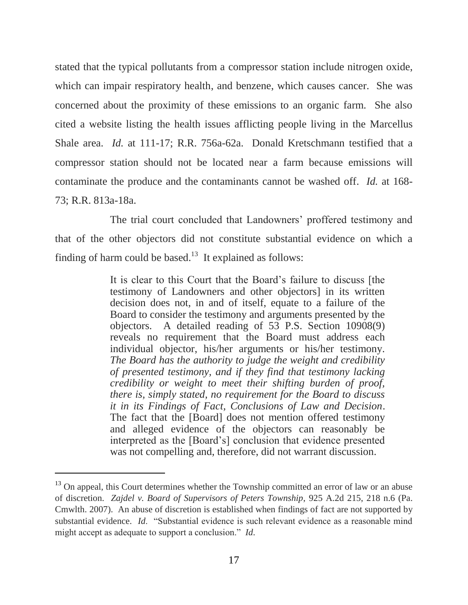stated that the typical pollutants from a compressor station include nitrogen oxide, which can impair respiratory health, and benzene, which causes cancer. She was concerned about the proximity of these emissions to an organic farm. She also cited a website listing the health issues afflicting people living in the Marcellus Shale area. *Id.* at 111-17; R.R. 756a-62a. Donald Kretschmann testified that a compressor station should not be located near a farm because emissions will contaminate the produce and the contaminants cannot be washed off. *Id.* at 168- 73; R.R. 813a-18a.

The trial court concluded that Landowners' proffered testimony and that of the other objectors did not constitute substantial evidence on which a finding of harm could be based. $13$  It explained as follows:

> It is clear to this Court that the Board's failure to discuss [the testimony of Landowners and other objectors] in its written decision does not, in and of itself, equate to a failure of the Board to consider the testimony and arguments presented by the objectors. A detailed reading of 53 P.S. Section 10908(9) reveals no requirement that the Board must address each individual objector, his/her arguments or his/her testimony. *The Board has the authority to judge the weight and credibility of presented testimony, and if they find that testimony lacking credibility or weight to meet their shifting burden of proof, there is, simply stated, no requirement for the Board to discuss it in its Findings of Fact, Conclusions of Law and Decision*. The fact that the [Board] does not mention offered testimony and alleged evidence of the objectors can reasonably be interpreted as the [Board's] conclusion that evidence presented was not compelling and, therefore, did not warrant discussion.

<sup>&</sup>lt;sup>13</sup> On appeal, this Court determines whether the Township committed an error of law or an abuse of discretion. *Zajdel v. Board of Supervisors of Peters Township*, 925 A.2d 215, 218 n.6 (Pa. Cmwlth. 2007). An abuse of discretion is established when findings of fact are not supported by substantial evidence. *Id*. "Substantial evidence is such relevant evidence as a reasonable mind might accept as adequate to support a conclusion." *Id*.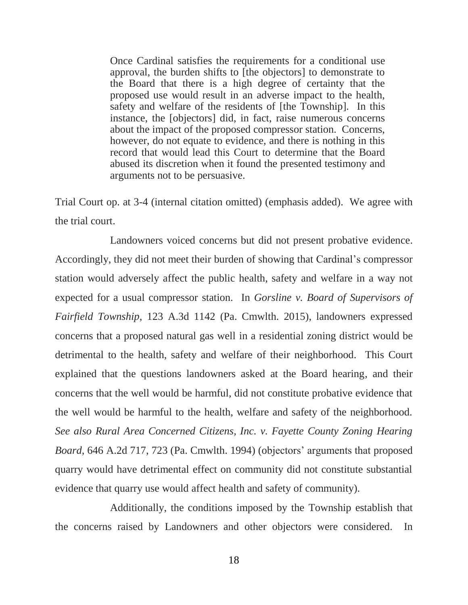Once Cardinal satisfies the requirements for a conditional use approval, the burden shifts to [the objectors] to demonstrate to the Board that there is a high degree of certainty that the proposed use would result in an adverse impact to the health, safety and welfare of the residents of [the Township]. In this instance, the [objectors] did, in fact, raise numerous concerns about the impact of the proposed compressor station. Concerns, however, do not equate to evidence, and there is nothing in this record that would lead this Court to determine that the Board abused its discretion when it found the presented testimony and arguments not to be persuasive.

Trial Court op. at 3-4 (internal citation omitted) (emphasis added). We agree with the trial court.

Landowners voiced concerns but did not present probative evidence. Accordingly, they did not meet their burden of showing that Cardinal's compressor station would adversely affect the public health, safety and welfare in a way not expected for a usual compressor station. In *Gorsline v. Board of Supervisors of Fairfield Township*, 123 A.3d 1142 (Pa. Cmwlth. 2015), landowners expressed concerns that a proposed natural gas well in a residential zoning district would be detrimental to the health, safety and welfare of their neighborhood. This Court explained that the questions landowners asked at the Board hearing, and their concerns that the well would be harmful, did not constitute probative evidence that the well would be harmful to the health, welfare and safety of the neighborhood. *See also Rural Area Concerned Citizens, Inc. v. Fayette County Zoning Hearing Board*, 646 A.2d 717, 723 (Pa. Cmwlth. 1994) (objectors' arguments that proposed quarry would have detrimental effect on community did not constitute substantial evidence that quarry use would affect health and safety of community).

Additionally, the conditions imposed by the Township establish that the concerns raised by Landowners and other objectors were considered. In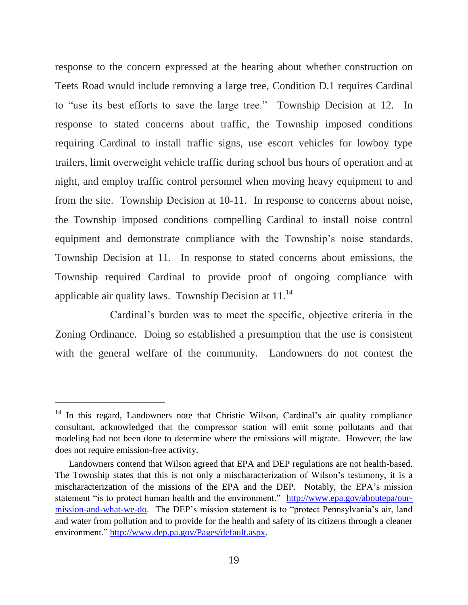response to the concern expressed at the hearing about whether construction on Teets Road would include removing a large tree, Condition D.1 requires Cardinal to "use its best efforts to save the large tree." Township Decision at 12. In response to stated concerns about traffic, the Township imposed conditions requiring Cardinal to install traffic signs, use escort vehicles for lowboy type trailers, limit overweight vehicle traffic during school bus hours of operation and at night, and employ traffic control personnel when moving heavy equipment to and from the site. Township Decision at 10-11. In response to concerns about noise, the Township imposed conditions compelling Cardinal to install noise control equipment and demonstrate compliance with the Township's noise standards. Township Decision at 11. In response to stated concerns about emissions, the Township required Cardinal to provide proof of ongoing compliance with applicable air quality laws. Township Decision at  $11<sup>14</sup>$ 

Cardinal's burden was to meet the specific, objective criteria in the Zoning Ordinance. Doing so established a presumption that the use is consistent with the general welfare of the community. Landowners do not contest the

<sup>&</sup>lt;sup>14</sup> In this regard, Landowners note that Christie Wilson, Cardinal's air quality compliance consultant, acknowledged that the compressor station will emit some pollutants and that modeling had not been done to determine where the emissions will migrate. However, the law does not require emission-free activity.

Landowners contend that Wilson agreed that EPA and DEP regulations are not health-based. The Township states that this is not only a mischaracterization of Wilson's testimony, it is a mischaracterization of the missions of the EPA and the DEP. Notably, the EPA's mission statement "is to protect human health and the environment." [http://www.epa.gov/aboutepa/our](http://www.epa.gov/aboutepa/our-mission-and-what-we-do)[mission-and-what-we-do.](http://www.epa.gov/aboutepa/our-mission-and-what-we-do) The DEP's mission statement is to "protect Pennsylvania's air, land and water from pollution and to provide for the health and safety of its citizens through a cleaner environment." [http://www.dep.pa.gov/Pages/default.aspx.](http://www.dep.pa.gov/Pages/default.aspx)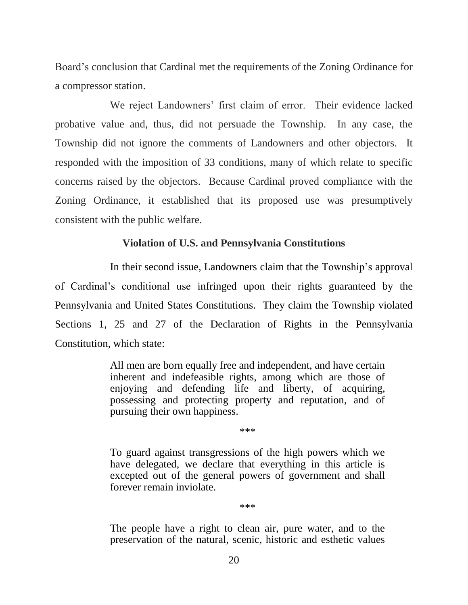Board's conclusion that Cardinal met the requirements of the Zoning Ordinance for a compressor station.

We reject Landowners' first claim of error. Their evidence lacked probative value and, thus, did not persuade the Township. In any case, the Township did not ignore the comments of Landowners and other objectors. It responded with the imposition of 33 conditions, many of which relate to specific concerns raised by the objectors. Because Cardinal proved compliance with the Zoning Ordinance, it established that its proposed use was presumptively consistent with the public welfare.

# **Violation of U.S. and Pennsylvania Constitutions**

In their second issue, Landowners claim that the Township's approval of Cardinal's conditional use infringed upon their rights guaranteed by the Pennsylvania and United States Constitutions. They claim the Township violated [Sections 1, 25 and 27](https://a.next.westlaw.com/Link/Document/FullText?findType=L&pubNum=1000262&cite=PACNART1S27&originatingDoc=I5e67f9fb696611e38913df21cb42a557&refType=LQ&originationContext=document&transitionType=DocumentItem&contextData=(sc.Search)) of the Declaration of Rights in the Pennsylvania Constitution, which state:

> All men are born equally free and independent, and have certain inherent and indefeasible rights, among which are those of enjoying and defending life and liberty, of acquiring, possessing and protecting property and reputation, and of pursuing their own happiness.

> > \*\*\*

To guard against transgressions of the high powers which we have delegated, we declare that everything in this article is excepted out of the general powers of government and shall forever remain inviolate.

\*\*\*

The people have a right to clean air, pure water, and to the preservation of the natural, scenic, historic and esthetic values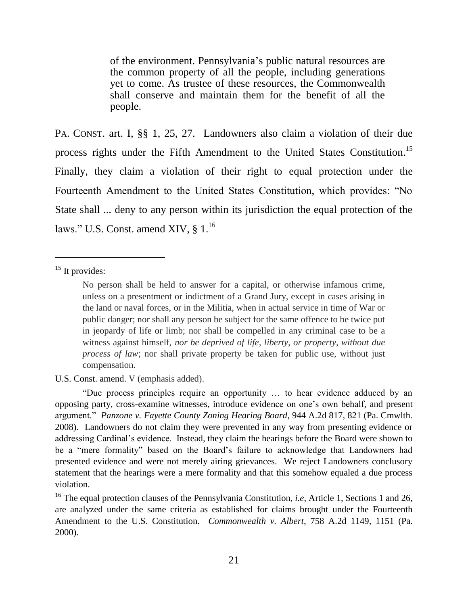of the environment. Pennsylvania's public natural resources are the common property of all the people, including generations yet to come. As trustee of these resources, the Commonwealth shall conserve and maintain them for the benefit of all the people.

PA. CONST. art. I, §§ 1, 25, 27. Landowners also claim a violation of their due process rights under the Fifth Amendment to the United States Constitution.<sup>15</sup> Finally, they claim a violation of their right to equal protection under the Fourteenth Amendment to the United States Constitution, which provides: "No State shall ... deny to any person within its jurisdiction the equal protection of the laws." U.S. Const. amend XIV,  $\S 1$ .<sup>16</sup>

<sup>15</sup> It provides:

 $\overline{a}$ 

#### U.S. Const. amend. V (emphasis added).

"Due process principles require an opportunity … to hear evidence adduced by an opposing party, cross-examine witnesses, introduce evidence on one's own behalf, and present argument." *Panzone v. Fayette County Zoning Hearing Board*, 944 A.2d 817, 821 (Pa. Cmwlth. 2008). Landowners do not claim they were prevented in any way from presenting evidence or addressing Cardinal's evidence. Instead, they claim the hearings before the Board were shown to be a "mere formality" based on the Board's failure to acknowledge that Landowners had presented evidence and were not merely airing grievances. We reject Landowners conclusory statement that the hearings were a mere formality and that this somehow equaled a due process violation.

<sup>16</sup> The equal protection clauses of the Pennsylvania Constitution, *i.e*, Article 1, Sections 1 and 26, are analyzed under the same criteria as established for claims brought under the Fourteenth Amendment to the U.S. Constitution. *Commonwealth v. Albert*[, 758 A.2d 1149, 1151 \(Pa.](https://a.next.westlaw.com/Link/Document/FullText?findType=Y&serNum=2000538878&pubNum=0000162&originatingDoc=I474011fd0fa311dd9876f446780b7bdc&refType=RP&fi=co_pp_sp_162_1151&originationContext=document&transitionType=DocumentItem&contextData=(sc.Search)#co_pp_sp_162_1151)  [2000\).](https://a.next.westlaw.com/Link/Document/FullText?findType=Y&serNum=2000538878&pubNum=0000162&originatingDoc=I474011fd0fa311dd9876f446780b7bdc&refType=RP&fi=co_pp_sp_162_1151&originationContext=document&transitionType=DocumentItem&contextData=(sc.Search)#co_pp_sp_162_1151)

No person shall be held to answer for a capital, or otherwise infamous crime, unless on a presentment or indictment of a Grand Jury, except in cases arising in the land or naval forces, or in the Militia, when in actual service in time of War or public danger; nor shall any person be subject for the same offence to be twice put in jeopardy of life or limb; nor shall be compelled in any criminal case to be a witness against himself, *nor be deprived of life, liberty, or property, without due process of law*; nor shall private property be taken for public use, without just compensation.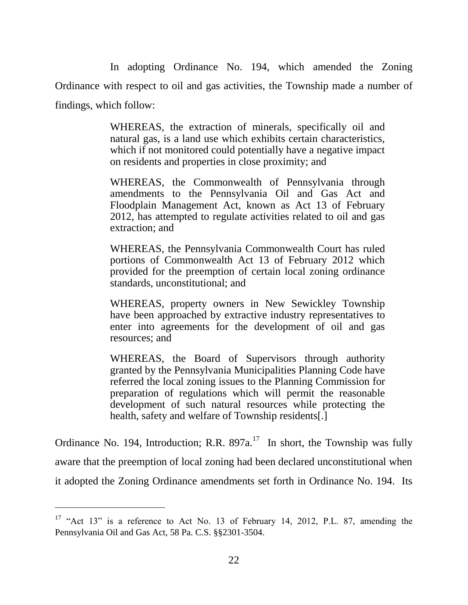In adopting Ordinance No. 194, which amended the Zoning Ordinance with respect to oil and gas activities, the Township made a number of findings, which follow:

> WHEREAS, the extraction of minerals, specifically oil and natural gas, is a land use which exhibits certain characteristics, which if not monitored could potentially have a negative impact on residents and properties in close proximity; and

> WHEREAS, the Commonwealth of Pennsylvania through amendments to the Pennsylvania Oil and Gas Act and Floodplain Management Act, known as Act 13 of February 2012, has attempted to regulate activities related to oil and gas extraction; and

> WHEREAS, the Pennsylvania Commonwealth Court has ruled portions of Commonwealth Act 13 of February 2012 which provided for the preemption of certain local zoning ordinance standards, unconstitutional; and

> WHEREAS, property owners in New Sewickley Township have been approached by extractive industry representatives to enter into agreements for the development of oil and gas resources; and

> WHEREAS, the Board of Supervisors through authority granted by the Pennsylvania Municipalities Planning Code have referred the local zoning issues to the Planning Commission for preparation of regulations which will permit the reasonable development of such natural resources while protecting the health, safety and welfare of Township residents[.]

Ordinance No. 194, Introduction; R.R.  $897a$ <sup>17</sup> In short, the Township was fully aware that the preemption of local zoning had been declared unconstitutional when it adopted the Zoning Ordinance amendments set forth in Ordinance No. 194. Its

 $17$  "Act 13" is a reference to Act No. 13 of February 14, 2012, P.L. 87, amending the Pennsylvania Oil and Gas Act, 58 Pa. C.S. §§2301-3504.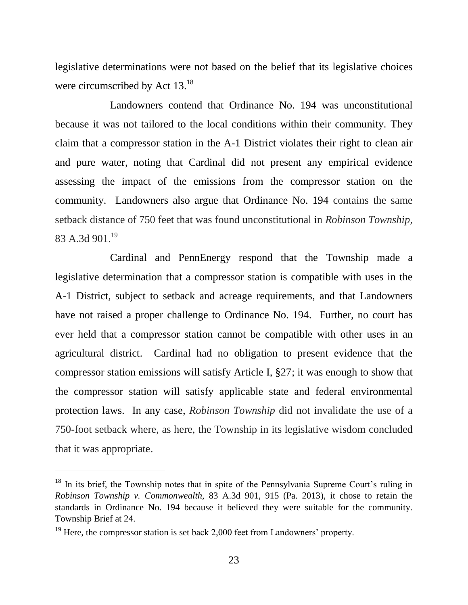legislative determinations were not based on the belief that its legislative choices were circumscribed by Act  $13.^{18}$ 

Landowners contend that Ordinance No. 194 was unconstitutional because it was not tailored to the local conditions within their community. They claim that a compressor station in the A-1 District violates their right to clean air and pure water, noting that Cardinal did not present any empirical evidence assessing the impact of the emissions from the compressor station on the community. Landowners also argue that Ordinance No. 194 contains the same setback distance of 750 feet that was found unconstitutional in *Robinson Township*, 83 A.3d 901.<sup>19</sup>

Cardinal and PennEnergy respond that the Township made a legislative determination that a compressor station is compatible with uses in the A-1 District, subject to setback and acreage requirements, and that Landowners have not raised a proper challenge to Ordinance No. 194. Further, no court has ever held that a compressor station cannot be compatible with other uses in an agricultural district. Cardinal had no obligation to present evidence that the compressor station emissions will satisfy Article I, §27; it was enough to show that the compressor station will satisfy applicable state and federal environmental protection laws. In any case, *Robinson Township* did not invalidate the use of a 750-foot setback where, as here, the Township in its legislative wisdom concluded that it was appropriate.

<sup>&</sup>lt;sup>18</sup> In its brief, the Township notes that in spite of the Pennsylvania Supreme Court's ruling in *Robinson Township v. Commonwealth,* 83 A.3d 901, 915 (Pa. 2013), it chose to retain the standards in Ordinance No. 194 because it believed they were suitable for the community. Township Brief at 24.

<sup>&</sup>lt;sup>19</sup> Here, the compressor station is set back 2,000 feet from Landowners' property.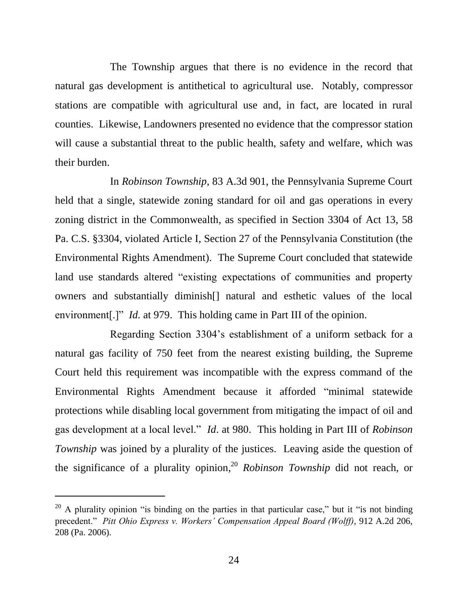The Township argues that there is no evidence in the record that natural gas development is antithetical to agricultural use. Notably, compressor stations are compatible with agricultural use and, in fact, are located in rural counties. Likewise, Landowners presented no evidence that the compressor station will cause a substantial threat to the public health, safety and welfare, which was their burden.

In *Robinson Township*, 83 A.3d 901, the Pennsylvania Supreme Court held that a single, statewide zoning standard for oil and gas operations in every zoning district in the Commonwealth, as specified in Section 3304 of Act 13, 58 Pa. C.S. §3304, violated Article I, Section 27 of the Pennsylvania Constitution (the Environmental Rights Amendment). The Supreme Court concluded that statewide land use standards altered "existing expectations of communities and property owners and substantially diminish[] natural and esthetic values of the local environment<sup>[1]</sup> *Id.* at 979. This holding came in Part III of the opinion.

Regarding Section 3304's establishment of a uniform setback for a natural gas facility of 750 feet from the nearest existing building, the Supreme Court held this requirement was incompatible with the express command of the Environmental Rights Amendment because it afforded "minimal statewide protections while disabling local government from mitigating the impact of oil and gas development at a local level." *Id*. at 980. This holding in Part III of *Robinson Township* was joined by a plurality of the justices. Leaving aside the question of the significance of a plurality opinion, <sup>20</sup> *Robinson Township* did not reach, or

 $20$  A plurality opinion "is binding on the parties in that particular case," but it "is not binding precedent." *Pitt Ohio Express v. Workers' Compensation Appeal Board (Wolff)*, 912 A.2d 206, 208 (Pa. 2006).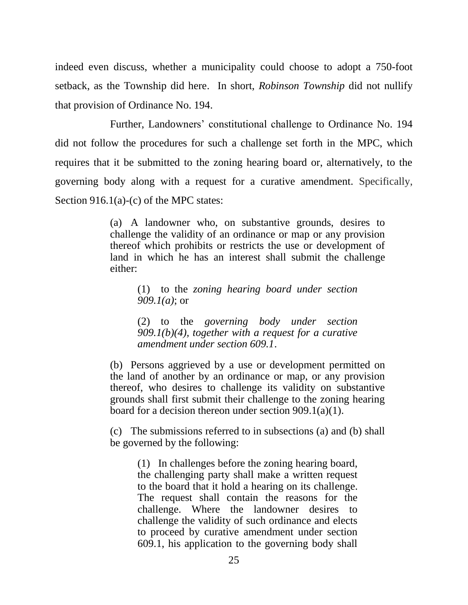indeed even discuss, whether a municipality could choose to adopt a 750-foot setback, as the Township did here. In short, *Robinson Township* did not nullify that provision of Ordinance No. 194.

Further, Landowners' constitutional challenge to Ordinance No. 194 did not follow the procedures for such a challenge set forth in the MPC, which requires that it be submitted to the zoning hearing board or, alternatively, to the governing body along with a request for a curative amendment. Specifically, Section 916.1(a)-(c) of the MPC states:

> (a) A landowner who, on substantive grounds, desires to challenge the validity of an ordinance or map or any provision thereof which prohibits or restricts the use or development of land in which he has an interest shall submit the challenge either:

> > (1) to the *zoning hearing board under section 909.1(a)*; or

> > (2) to the *governing body under section 909.1(b)(4), together with a request for a curative amendment under section 609.1*.

(b) Persons aggrieved by a use or development permitted on the land of another by an ordinance or map, or any provision thereof, who desires to challenge its validity on substantive grounds shall first submit their challenge to the zoning hearing board for a decision thereon under section 909.1(a)(1).

(c) The submissions referred to in subsections (a) and (b) shall be governed by the following:

(1) In challenges before the zoning hearing board, the challenging party shall make a written request to the board that it hold a hearing on its challenge. The request shall contain the reasons for the challenge. Where the landowner desires to challenge the validity of such ordinance and elects to proceed by curative amendment under section 609.1, his application to the governing body shall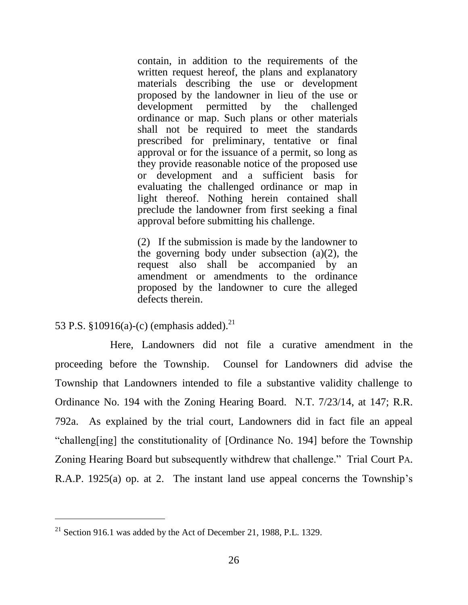contain, in addition to the requirements of the written request hereof, the plans and explanatory materials describing the use or development proposed by the landowner in lieu of the use or development permitted by the challenged ordinance or map. Such plans or other materials shall not be required to meet the standards prescribed for preliminary, tentative or final approval or for the issuance of a permit, so long as they provide reasonable notice of the proposed use or development and a sufficient basis for evaluating the challenged ordinance or map in light thereof. Nothing herein contained shall preclude the landowner from first seeking a final approval before submitting his challenge.

(2) If the submission is made by the landowner to the governing body under subsection  $(a)(2)$ , the request also shall be accompanied by an amendment or amendments to the ordinance proposed by the landowner to cure the alleged defects therein.

53 P.S. §10916(a)-(c) (emphasis added).<sup>21</sup>

 $\overline{a}$ 

Here, Landowners did not file a curative amendment in the proceeding before the Township. Counsel for Landowners did advise the Township that Landowners intended to file a substantive validity challenge to Ordinance No. 194 with the Zoning Hearing Board. N.T. 7/23/14, at 147; R.R. 792a. As explained by the trial court, Landowners did in fact file an appeal "challeng[ing] the constitutionality of [Ordinance No. 194] before the Township Zoning Hearing Board but subsequently withdrew that challenge." Trial Court PA. R.A.P. 1925(a) op. at 2. The instant land use appeal concerns the Township's

 $21$  Section 916.1 was added by the Act of December 21, 1988, P.L. 1329.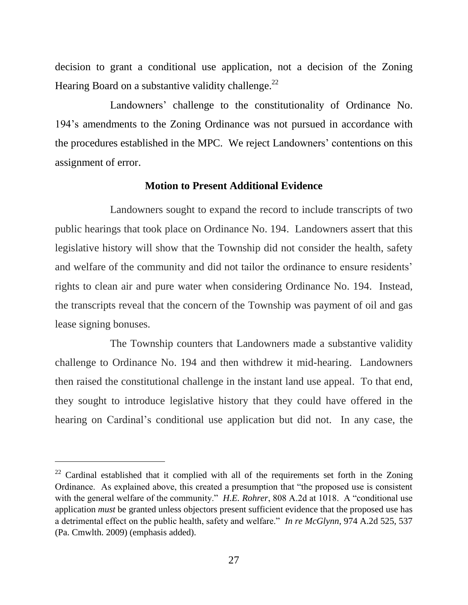decision to grant a conditional use application, not a decision of the Zoning Hearing Board on a substantive validity challenge.<sup>22</sup>

Landowners' challenge to the constitutionality of Ordinance No. 194's amendments to the Zoning Ordinance was not pursued in accordance with the procedures established in the MPC. We reject Landowners' contentions on this assignment of error.

#### **Motion to Present Additional Evidence**

Landowners sought to expand the record to include transcripts of two public hearings that took place on Ordinance No. 194. Landowners assert that this legislative history will show that the Township did not consider the health, safety and welfare of the community and did not tailor the ordinance to ensure residents' rights to clean air and pure water when considering Ordinance No. 194. Instead, the transcripts reveal that the concern of the Township was payment of oil and gas lease signing bonuses.

The Township counters that Landowners made a substantive validity challenge to Ordinance No. 194 and then withdrew it mid-hearing. Landowners then raised the constitutional challenge in the instant land use appeal. To that end, they sought to introduce legislative history that they could have offered in the hearing on Cardinal's conditional use application but did not. In any case, the

<sup>&</sup>lt;sup>22</sup> Cardinal established that it complied with all of the requirements set forth in the Zoning Ordinance. As explained above, this created a presumption that "the proposed use is consistent with the general welfare of the community." *H.E. Rohrer*, 808 A.2d at 1018. A "conditional use application *must* be granted unless objectors present sufficient evidence that the proposed use has a detrimental effect on the public health, safety and welfare." *In re McGlynn*, 974 A.2d 525, 537 (Pa. Cmwlth. 2009) (emphasis added).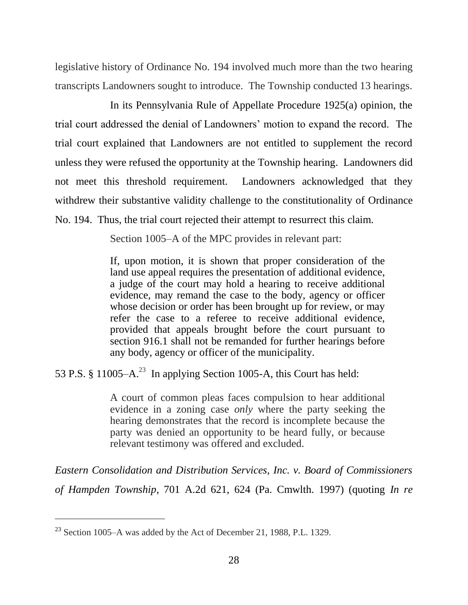legislative history of Ordinance No. 194 involved much more than the two hearing transcripts Landowners sought to introduce. The Township conducted 13 hearings.

In its Pennsylvania Rule of Appellate Procedure 1925(a) opinion, the trial court addressed the denial of Landowners' motion to expand the record. The trial court explained that Landowners are not entitled to supplement the record unless they were refused the opportunity at the Township hearing. Landowners did not meet this threshold requirement. Landowners acknowledged that they withdrew their substantive validity challenge to the constitutionality of Ordinance No. 194. Thus, the trial court rejected their attempt to resurrect this claim.

Section 1005–A of the MPC provides in relevant part:

If, upon motion, it is shown that proper consideration of the land use appeal requires the presentation of additional evidence, a judge of the court may hold a hearing to receive additional evidence, may remand the case to the body, agency or officer whose decision or order has been brought up for review, or may refer the case to a referee to receive additional evidence, provided that appeals brought before the court pursuant to section 916.1 shall not be remanded for further hearings before any body, agency or officer of the municipality.

53 P.S. § 11005– $A^{23}$  In applying Section 1005-A, this Court has held:

A court of common pleas faces compulsion to hear additional evidence in a zoning case *only* where the party seeking the hearing demonstrates that the record is incomplete because the party was denied an opportunity to be heard fully, or because relevant testimony was offered and excluded.

*Eastern Consolidation and Distribution Services, Inc. v. Board of Commissioners of Hampden Township*, 701 A.2d 621, 624 (Pa. Cmwlth. 1997) (quoting *[In re](https://a.next.westlaw.com/Link/Document/FullText?findType=Y&serNum=1994241053&pubNum=162&originatingDoc=Ia9407fe036b411d9abe5ec754599669c&refType=RP&fi=co_pp_sp_162_613&originationContext=document&transitionType=DocumentItem&contextData=(sc.DocLink)#co_pp_sp_162_613)* 

<sup>23</sup> Section 1005–A was added by the Act of December 21, 1988, P.L. 1329.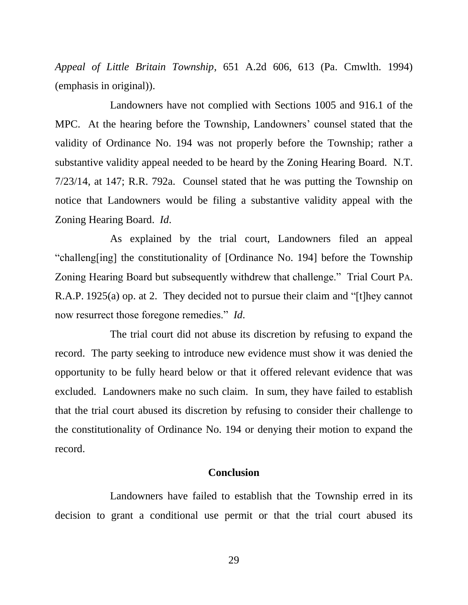*[Appeal of Little Britain Township](https://a.next.westlaw.com/Link/Document/FullText?findType=Y&serNum=1994241053&pubNum=162&originatingDoc=Ia9407fe036b411d9abe5ec754599669c&refType=RP&fi=co_pp_sp_162_613&originationContext=document&transitionType=DocumentItem&contextData=(sc.DocLink)#co_pp_sp_162_613)*, 651 A.2d 606, 613 (Pa. Cmwlth. 1994) (emphasis in original)).

Landowners have not complied with Sections 1005 and 916.1 of the MPC. At the hearing before the Township, Landowners' counsel stated that the validity of Ordinance No. 194 was not properly before the Township; rather a substantive validity appeal needed to be heard by the Zoning Hearing Board. N.T. 7/23/14, at 147; R.R. 792a. Counsel stated that he was putting the Township on notice that Landowners would be filing a substantive validity appeal with the Zoning Hearing Board. *Id*.

As explained by the trial court, Landowners filed an appeal "challeng[ing] the constitutionality of [Ordinance No. 194] before the Township Zoning Hearing Board but subsequently withdrew that challenge." Trial Court PA. R.A.P. 1925(a) op. at 2. They decided not to pursue their claim and "[t]hey cannot now resurrect those foregone remedies." *Id*.

The trial court did not abuse its discretion by refusing to expand the record. The party seeking to introduce new evidence must show it was denied the opportunity to be fully heard below or that it offered relevant evidence that was excluded. Landowners make no such claim. In sum, they have failed to establish that the trial court abused its discretion by refusing to consider their challenge to the constitutionality of Ordinance No. 194 or denying their motion to expand the record.

#### **Conclusion**

Landowners have failed to establish that the Township erred in its decision to grant a conditional use permit or that the trial court abused its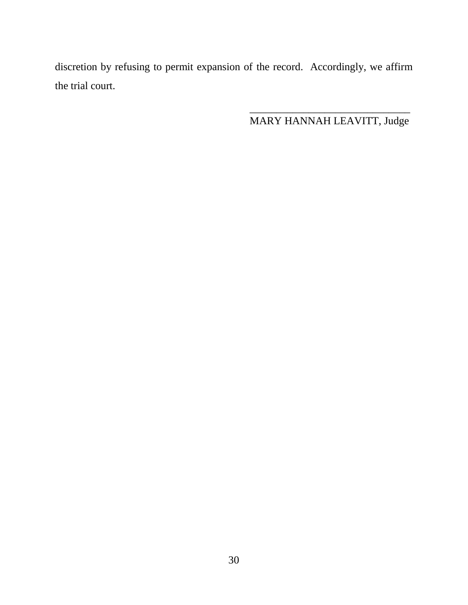discretion by refusing to permit expansion of the record. Accordingly, we affirm the trial court.

MARY HANNAH LEAVITT, Judge

 $\frac{1}{\sqrt{2}}$  ,  $\frac{1}{\sqrt{2}}$  ,  $\frac{1}{\sqrt{2}}$  ,  $\frac{1}{\sqrt{2}}$  ,  $\frac{1}{\sqrt{2}}$  ,  $\frac{1}{\sqrt{2}}$  ,  $\frac{1}{\sqrt{2}}$  ,  $\frac{1}{\sqrt{2}}$  ,  $\frac{1}{\sqrt{2}}$  ,  $\frac{1}{\sqrt{2}}$  ,  $\frac{1}{\sqrt{2}}$  ,  $\frac{1}{\sqrt{2}}$  ,  $\frac{1}{\sqrt{2}}$  ,  $\frac{1}{\sqrt{2}}$  ,  $\frac{1}{\sqrt{2}}$